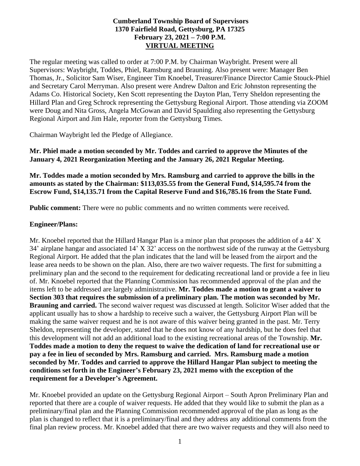### **Cumberland Township Board of Supervisors 1370 Fairfield Road, Gettysburg, PA 17325 February 23, 2021 – 7:00 P.M. VIRTUAL MEETING**

The regular meeting was called to order at 7:00 P.M. by Chairman Waybright. Present were all Supervisors: Waybright, Toddes, Phiel, Ramsburg and Brauning. Also present were: Manager Ben Thomas, Jr., Solicitor Sam Wiser, Engineer Tim Knoebel, Treasurer/Finance Director Camie Stouck-Phiel and Secretary Carol Merryman. Also present were Andrew Dalton and Eric Johnston representing the Adams Co. Historical Society, Ken Scott representing the Dayton Plan, Terry Sheldon representing the Hillard Plan and Greg Schrock representing the Gettysburg Regional Airport. Those attending via ZOOM were Doug and Nita Gross, Angela McGowan and David Spaulding also representing the Gettysburg Regional Airport and Jim Hale, reporter from the Gettysburg Times.

Chairman Waybright led the Pledge of Allegiance.

**Mr. Phiel made a motion seconded by Mr. Toddes and carried to approve the Minutes of the January 4, 2021 Reorganization Meeting and the January 26, 2021 Regular Meeting.**

**Mr. Toddes made a motion seconded by Mrs. Ramsburg and carried to approve the bills in the amounts as stated by the Chairman: \$113,035.55 from the General Fund, \$14,595.74 from the Escrow Fund, \$14,135.71 from the Capital Reserve Fund and \$16,785.16 from the State Fund.**

**Public comment:** There were no public comments and no written comments were received.

#### **Engineer/Plans:**

Mr. Knoebel reported that the Hillard Hangar Plan is a minor plan that proposes the addition of a 44' X 34' airplane hangar and associated 14' X 32' access on the northwest side of the runway at the Gettysburg Regional Airport. He added that the plan indicates that the land will be leased from the airport and the lease area needs to be shown on the plan. Also, there are two waiver requests. The first for submitting a preliminary plan and the second to the requirement for dedicating recreational land or provide a fee in lieu of. Mr. Knoebel reported that the Planning Commission has recommended approval of the plan and the items left to be addressed are largely administrative. **Mr. Toddes made a motion to grant a waiver to Section 303 that requires the submission of a preliminary plan. The motion was seconded by Mr. Brauning and carried.** The second waiver request was discussed at length. Solicitor Wiser added that the applicant usually has to show a hardship to receive such a waiver, the Gettysburg Airport Plan will be making the same waiver request and he is not aware of this waiver being granted in the past. Mr. Terry Sheldon, representing the developer, stated that he does not know of any hardship, but he does feel that this development will not add an additional load to the existing recreational areas of the Township. **Mr. Toddes made a motion to deny the request to waive the dedication of land for recreational use or pay a fee in lieu of seconded by Mrs. Ramsburg and carried. Mrs. Ramsburg made a motion seconded by Mr. Toddes and carried to approve the Hillard Hangar Plan subject to meeting the conditions set forth in the Engineer's February 23, 2021 memo with the exception of the requirement for a Developer's Agreement.** 

Mr. Knoebel provided an update on the Gettysburg Regional Airport – South Apron Preliminary Plan and reported that there are a couple of waiver requests. He added that they would like to submit the plan as a preliminary/final plan and the Planning Commission recommended approval of the plan as long as the plan is changed to reflect that it is a preliminary/final and they address any additional comments from the final plan review process. Mr. Knoebel added that there are two waiver requests and they will also need to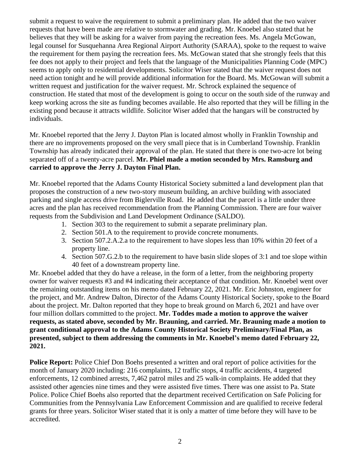submit a request to waive the requirement to submit a preliminary plan. He added that the two waiver requests that have been made are relative to stormwater and grading. Mr. Knoebel also stated that he believes that they will be asking for a waiver from paying the recreation fees. Ms. Angela McGowan, legal counsel for Susquehanna Area Regional Airport Authority (SARAA), spoke to the request to waive the requirement for them paying the recreation fees. Ms. McGowan stated that she strongly feels that this fee does not apply to their project and feels that the language of the Municipalities Planning Code (MPC) seems to apply only to residential developments. Solicitor Wiser stated that the waiver request does not need action tonight and he will provide additional information for the Board. Ms. McGowan will submit a written request and justification for the waiver request. Mr. Schrock explained the sequence of construction. He stated that most of the development is going to occur on the south side of the runway and keep working across the site as funding becomes available. He also reported that they will be filling in the existing pond because it attracts wildlife. Solicitor Wiser added that the hangars will be constructed by individuals.

Mr. Knoebel reported that the Jerry J. Dayton Plan is located almost wholly in Franklin Township and there are no improvements proposed on the very small piece that is in Cumberland Township. Franklin Township has already indicated their approval of the plan. He stated that there is one two-acre lot being separated off of a twenty-acre parcel. **Mr. Phiel made a motion seconded by Mrs. Ramsburg and carried to approve the Jerry J. Dayton Final Plan.**

Mr. Knoebel reported that the Adams County Historical Society submitted a land development plan that proposes the construction of a new two-story museum building, an archive building with associated parking and single access drive from Biglerville Road. He added that the parcel is a little under three acres and the plan has received recommendation from the Planning Commission. There are four waiver requests from the Subdivision and Land Development Ordinance (SALDO).

- 1. Section 303 to the requirement to submit a separate preliminary plan.
- 2. Section 501.A to the requirement to provide concrete monuments.
- 3. Section 507.2.A.2.a to the requirement to have slopes less than 10% within 20 feet of a property line.
- 4. Section 507.G.2.b to the requirement to have basin slide slopes of 3:1 and toe slope within 40 feet of a downstream property line.

Mr. Knoebel added that they do have a release, in the form of a letter, from the neighboring property owner for waiver requests #3 and #4 indicating their acceptance of that condition. Mr. Knoebel went over the remaining outstanding items on his memo dated February 22, 2021. Mr. Eric Johnston, engineer for the project, and Mr. Andrew Dalton, Director of the Adams County Historical Society, spoke to the Board about the project. Mr. Dalton reported that they hope to break ground on March 6, 2021 and have over four million dollars committed to the project. **Mr. Toddes made a motion to approve the waiver requests, as stated above, seconded by Mr. Brauning, and carried. Mr. Brauning made a motion to grant conditional approval to the Adams County Historical Society Preliminary/Final Plan, as presented, subject to them addressing the comments in Mr. Knoebel's memo dated February 22, 2021.** 

**Police Report:** Police Chief Don Boehs presented a written and oral report of police activities for the month of January 2020 including: 216 complaints, 12 traffic stops, 4 traffic accidents, 4 targeted enforcements, 12 combined arrests, 7,462 patrol miles and 25 walk-in complaints. He added that they assisted other agencies nine times and they were assisted five times. There was one assist to Pa. State Police. Police Chief Boehs also reported that the department received Certification on Safe Policing for Communities from the Pennsylvania Law Enforcement Commission and are qualified to receive federal grants for three years. Solicitor Wiser stated that it is only a matter of time before they will have to be accredited.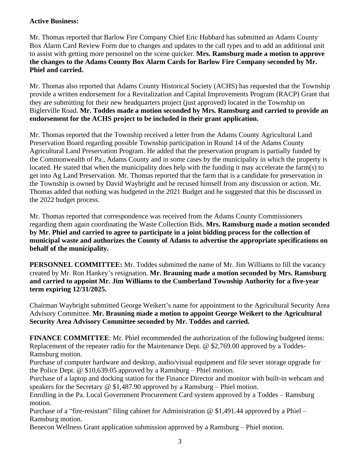### **Active Business:**

Mr. Thomas reported that Barlow Fire Company Chief Eric Hubbard has submitted an Adams County Box Alarm Card Review Form due to changes and updates to the call types and to add an additional unit to assist with getting more personnel on the scene quicker. **Mrs. Ramsburg made a motion to approve the changes to the Adams County Box Alarm Cards for Barlow Fire Company seconded by Mr. Phiel and carried.**

Mr. Thomas also reported that Adams County Historical Society (ACHS) has requested that the Township provide a written endorsement for a Revitalization and Capital Improvements Program (RACP) Grant that they are submitting for their new headquarters project (just approved) located in the Township on Biglerville Road. **Mr. Toddes made a motion seconded by Mrs. Ramsburg and carried to provide an endorsement for the ACHS project to be included in their grant application.**

Mr. Thomas reported that the Township received a letter from the Adams County Agricultural Land Preservation Board regarding possible Township participation in Round 14 of the Adams County Agricultural Land Preservation Program. He added that the preservation program is partially funded by the Commonwealth of Pa., Adams County and in some cases by the municipality in which the property is located. He stated that when the municipality does help with the funding it may accelerate the farm(s) to get into Ag Land Preservation. Mr. Thomas reported that the farm that is a candidate for preservation in the Township is owned by David Waybright and he recused himself from any discussion or action. Mr. Thomas added that nothing was budgeted in the 2021 Budget and he suggested that this be discussed in the 2022 budget process.

Mr. Thomas reported that correspondence was received from the Adams County Commissioners regarding them again coordinating the Waste Collection Bids. **Mrs. Ramsburg made a motion seconded by Mr. Phiel and carried to agree to participate in a joint bidding process for the collection of municipal waste and authorizes the County of Adams to advertise the appropriate specifications on behalf of the municipality.**

**PERSONNEL COMMITTEE:** Mr. Toddes submitted the name of Mr. Jim Williams to fill the vacancy created by Mr. Ron Hankey's resignation. **Mr. Brauning made a motion seconded by Mrs. Ramsburg and carried to appoint Mr. Jim Williams to the Cumberland Township Authority for a five-year term expiring 12/31/2025.**

Chairman Waybright submitted George Weikert's name for appointment to the Agricultural Security Area Advisory Committee. **Mr. Brauning made a motion to appoint George Weikert to the Agricultural Security Area Advisory Committee seconded by Mr. Toddes and carried.**

**FINANCE COMMITTEE**: Mr. Phiel recommended the authorization of the following budgeted items: Replacement of the repeater radio for the Maintenance Dept. @ \$2,769.00 approved by a Toddes-Ramsburg motion.

Purchase of computer hardware and desktop, audio/visual equipment and file sever storage upgrade for the Police Dept. @ \$10,639.05 approved by a Ramsburg – Phiel motion.

Purchase of a laptop and docking station for the Finance Director and monitor with built-in webcam and speakers for the Secretary @ \$1,487.90 approved by a Ramsburg – Phiel motion.

Enrolling in the Pa. Local Government Procurement Card system approved by a Toddes – Ramsburg motion.

Purchase of a "fire-resistant" filing cabinet for Administration  $\omega$  \$1,491.44 approved by a Phiel – Ramsburg motion.

Benecon Wellness Grant application submission approved by a Ramsburg – Phiel motion.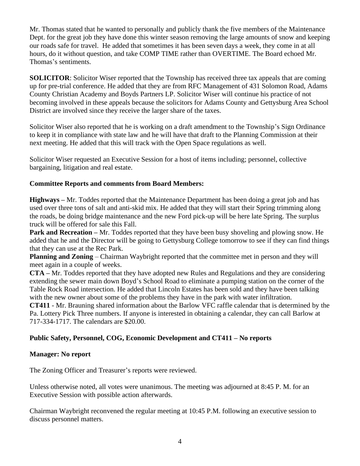Mr. Thomas stated that he wanted to personally and publicly thank the five members of the Maintenance Dept. for the great job they have done this winter season removing the large amounts of snow and keeping our roads safe for travel. He added that sometimes it has been seven days a week, they come in at all hours, do it without question, and take COMP TIME rather than OVERTIME. The Board echoed Mr. Thomas's sentiments.

**SOLICITOR:** Solicitor Wiser reported that the Township has received three tax appeals that are coming up for pre-trial conference. He added that they are from RFC Management of 431 Solomon Road, Adams County Christian Academy and Boyds Partners LP. Solicitor Wiser will continue his practice of not becoming involved in these appeals because the solicitors for Adams County and Gettysburg Area School District are involved since they receive the larger share of the taxes.

Solicitor Wiser also reported that he is working on a draft amendment to the Township's Sign Ordinance to keep it in compliance with state law and he will have that draft to the Planning Commission at their next meeting. He added that this will track with the Open Space regulations as well.

Solicitor Wiser requested an Executive Session for a host of items including; personnel, collective bargaining, litigation and real estate.

## **Committee Reports and comments from Board Members:**

**Highways –** Mr. Toddes reported that the Maintenance Department has been doing a great job and has used over three tons of salt and anti-skid mix. He added that they will start their Spring trimming along the roads, be doing bridge maintenance and the new Ford pick-up will be here late Spring. The surplus truck will be offered for sale this Fall.

**Park and Recreation** – Mr. Toddes reported that they have been busy shoveling and plowing snow. He added that he and the Director will be going to Gettysburg College tomorrow to see if they can find things that they can use at the Rec Park.

**Planning and Zoning** – Chairman Waybright reported that the committee met in person and they will meet again in a couple of weeks.

**CTA –** Mr. Toddes reported that they have adopted new Rules and Regulations and they are considering extending the sewer main down Boyd's School Road to eliminate a pumping station on the corner of the Table Rock Road intersection. He added that Lincoln Estates has been sold and they have been talking with the new owner about some of the problems they have in the park with water infiltration.

**CT411** - Mr. Brauning shared information about the Barlow VFC raffle calendar that is determined by the Pa. Lottery Pick Three numbers. If anyone is interested in obtaining a calendar, they can call Barlow at 717-334-1717. The calendars are \$20.00.

# **Public Safety, Personnel, COG, Economic Development and CT411 – No reports**

### **Manager: No report**

The Zoning Officer and Treasurer's reports were reviewed.

Unless otherwise noted, all votes were unanimous. The meeting was adjourned at 8:45 P. M. for an Executive Session with possible action afterwards.

Chairman Waybright reconvened the regular meeting at 10:45 P.M. following an executive session to discuss personnel matters.